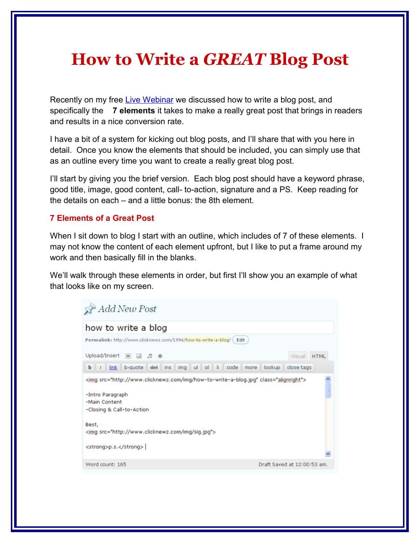# **How to Write a** *GREAT* **Blog Post**

Recently on my free [Live Webinar](http://www.selfstartersweeklytips.com/webinars.htm) we discussed how to write a blog post, and specifically the **7 elements** it takes to make a really great post that brings in readers and results in a nice conversion rate.

I have a bit of a system for kicking out blog posts, and I'll share that with you here in detail. Once you know the elements that should be included, you can simply use that as an outline every time you want to create a really great blog post.

I'll start by giving you the brief version. Each blog post should have a keyword phrase, good title, image, good content, call- to-action, signature and a PS. Keep reading for the details on each – and a little bonus: the 8th element.

## **7 Elements of a Great Post**

When I sit down to blog I start with an outline, which includes of 7 of these elements. I may not know the content of each element upfront, but I like to put a frame around my work and then basically fill in the blanks.

We'll walk through these elements in order, but first I'll show you an example of what that looks like on my screen.

| how to write a blog                                                                                                                                                      |         |         |     |  |               |      |        |                                                                                      |             |
|--------------------------------------------------------------------------------------------------------------------------------------------------------------------------|---------|---------|-----|--|---------------|------|--------|--------------------------------------------------------------------------------------|-------------|
| Permalink: http://www.clicknewz.com/1994/how-to-write-a-blog/ Edit                                                                                                       |         |         |     |  |               |      |        |                                                                                      |             |
| Upload/Insert                                                                                                                                                            | $\Box$  | - 53    |     |  |               |      |        | Visual                                                                               | <b>HTML</b> |
| $b$ / $link$                                                                                                                                                             | b-quote | del ins | img |  | ul ol li code | more | lookup | close tags                                                                           |             |
|                                                                                                                                                                          |         |         |     |  |               |      |        | <img class="alignright" src="http://www.clicknewz.com/img/how-to-write-a-blog.jpg"/> |             |
|                                                                                                                                                                          |         |         |     |  |               |      |        |                                                                                      |             |
|                                                                                                                                                                          |         |         |     |  |               |      |        |                                                                                      |             |
| -Intro Paragraph<br>-Main Content<br>-Closing & Call-to-Action<br>Best,<br><img src="http://www.clicknewz.com/img/siq.jpq"/><br><strong>p.s.</strong><br>Word count: 165 |         |         |     |  |               |      |        | Draft Saved at 12:00:53 am.                                                          |             |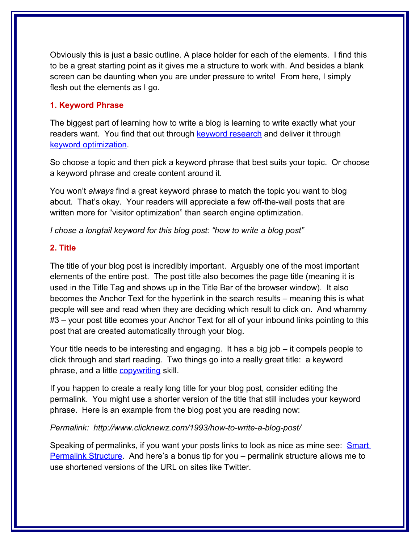Obviously this is just a basic outline. A place holder for each of the elements. I find this to be a great starting point as it gives me a structure to work with. And besides a blank screen can be daunting when you are under pressure to write! From here, I simply flesh out the elements as I go.

## **1. Keyword Phrase**

The biggest part of learning how to write a blog is learning to write exactly what your readers want. You find that out through [keyword research](http://www.clicknewz.com/821/ideas-for-how-to-content-and-how-to-products/) and deliver it through [keyword optimization.](http://www.clicknewz.com/1404/babb-23-how-to-optimize-your-blog/)

So choose a topic and then pick a keyword phrase that best suits your topic. Or choose a keyword phrase and create content around it.

You won't *always* find a great keyword phrase to match the topic you want to blog about. That's okay. Your readers will appreciate a few off-the-wall posts that are written more for "visitor optimization" than search engine optimization.

*I chose a longtail keyword for this blog post: "how to write a blog post"*

## **2. Title**

The title of your blog post is incredibly important. Arguably one of the most important elements of the entire post. The post title also becomes the page title (meaning it is used in the Title Tag and shows up in the Title Bar of the browser window). It also becomes the Anchor Text for the hyperlink in the search results – meaning this is what people will see and read when they are deciding which result to click on. And whammy #3 – your post title ecomes your Anchor Text for all of your inbound links pointing to this post that are created automatically through your blog.

Your title needs to be interesting and engaging. It has a big job – it compels people to click through and start reading. Two things go into a really great title: a keyword phrase, and a little [copywriting](http://www.copyblogger.com/why-some-people-almost-always-write-great-post-titles/) skill.

If you happen to create a really long title for your blog post, consider editing the permalink. You might use a shorter version of the title that still includes your keyword phrase. Here is an example from the blog post you are reading now:

#### *Permalink: http://www.clicknewz.com/1993/how-to-write-a-blog-post/*

Speaking of permalinks, if you want your posts links to look as nice as mine see: [Smart](http://www.clicknewz.com/783/smart-permalink-structure/) [Permalink Structure.](http://www.clicknewz.com/783/smart-permalink-structure/) And here's a bonus tip for you – permalink structure allows me to use shortened versions of the URL on sites like Twitter.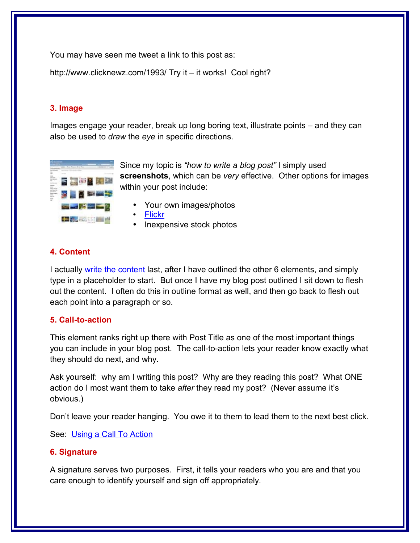You may have seen me tweet a link to this post as:

http://www.clicknewz.com/1993/ Try it – it works! Cool right?

# **3. Image**

Images engage your reader, break up long boring text, illustrate points – and they can also be used to *draw* the *eye* in specific directions.



Since my topic is *"how to write a blog post"* I simply used **screenshots**, which can be *very* effective. Other options for images within your post include:

- Your own images/photos
- • [Flickr](http://www.chrisbrogan.com/give-each-blog-post-a-pretty-face-with-flickr/)
- Inexpensive stock photos

# **4. Content**

I actually [write the content](http://www.clicknewz.com/1639/secret-to-writing-great-content/) last, after I have outlined the other 6 elements, and simply type in a placeholder to start. But once I have my blog post outlined I sit down to flesh out the content. I often do this in outline format as well, and then go back to flesh out each point into a paragraph or so.

# **5. Call-to-action**

This element ranks right up there with Post Title as one of the most important things you can include in your blog post. The call-to-action lets your reader know exactly what they should do next, and why.

Ask yourself: why am I writing this post? Why are they reading this post? What ONE action do I most want them to take *after* they read my post? (Never assume it's obvious.)

Don't leave your reader hanging. You owe it to them to lead them to the next best click.

See: [Using a Call To Action](http://www.clicknewz.com/513/call-to-action/)

# **6. Signature**

A signature serves two purposes. First, it tells your readers who you are and that you care enough to identify yourself and sign off appropriately.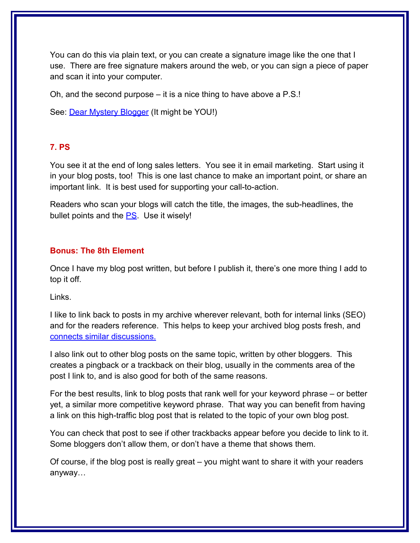You can do this via plain text, or you can create a signature image like the one that I use. There are free signature makers around the web, or you can sign a piece of paper and scan it into your computer.

Oh, and the second purpose – it is a nice thing to have above a P.S.!

See: **Dear Mystery Blogger** (It might be YOU!)

#### **7. PS**

You see it at the end of long sales letters. You see it in email marketing. Start using it in your blog posts, too! This is one last chance to make an important point, or share an important link. It is best used for supporting your call-to-action.

Readers who scan your blogs will catch the title, the images, the sub-headlines, the bullet points and the  $PS$ . Use it wisely!

## **Bonus: The 8th Element**

Once I have my blog post written, but before I publish it, there's one more thing I add to top it off.

Links.

I like to link back to posts in my archive wherever relevant, both for internal links (SEO) and for the readers reference. This helps to keep your archived blog posts fresh, and [connects similar discussions.](http://www.clicknewz.com/1427/stop-linking-to-your-home-page/)

I also link out to other blog posts on the same topic, written by other bloggers. This creates a pingback or a trackback on their blog, usually in the comments area of the post I link to, and is also good for both of the same reasons.

For the best results, link to blog posts that rank well for your keyword phrase – or better yet, a similar more competitive keyword phrase. That way you can benefit from having a link on this high-traffic blog post that is related to the topic of your own blog post.

You can check that post to see if other trackbacks appear before you decide to link to it. Some bloggers don't allow them, or don't have a theme that shows them.

Of course, if the blog post is really great – you might want to share it with your readers anyway…